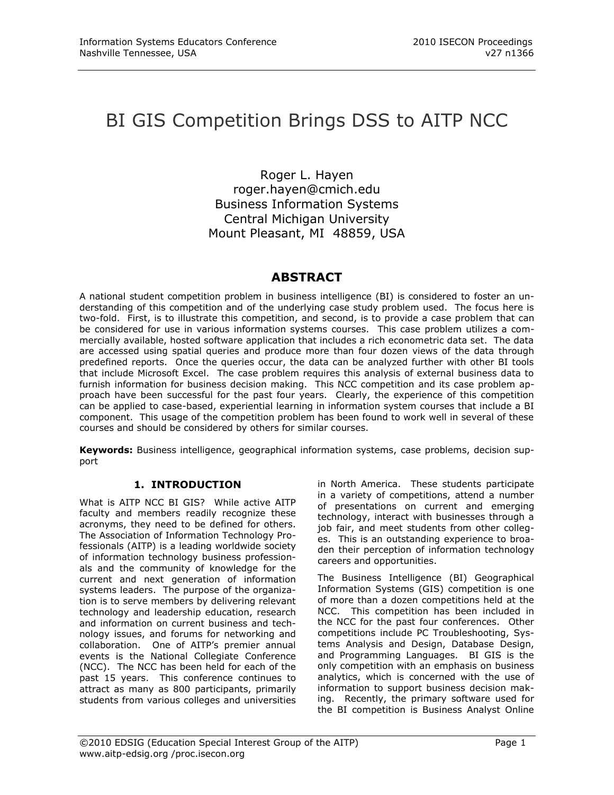# BI GIS Competition Brings DSS to AITP NCC

Roger L. Hayen [roger.hayen@cmich.edu](mailto:roger.hayen@cmich.edu) Business Information Systems Central Michigan University Mount Pleasant, MI 48859, USA

# **ABSTRACT**

A national student competition problem in business intelligence (BI) is considered to foster an understanding of this competition and of the underlying case study problem used. The focus here is two-fold. First, is to illustrate this competition, and second, is to provide a case problem that can be considered for use in various information systems courses. This case problem utilizes a commercially available, hosted software application that includes a rich econometric data set. The data are accessed using spatial queries and produce more than four dozen views of the data through predefined reports. Once the queries occur, the data can be analyzed further with other BI tools that include Microsoft Excel. The case problem requires this analysis of external business data to furnish information for business decision making. This NCC competition and its case problem approach have been successful for the past four years. Clearly, the experience of this competition can be applied to case-based, experiential learning in information system courses that include a BI component. This usage of the competition problem has been found to work well in several of these courses and should be considered by others for similar courses.

**Keywords:** Business intelligence, geographical information systems, case problems, decision support

# **1. INTRODUCTION**

What is AITP NCC BI GIS? While active AITP faculty and members readily recognize these acronyms, they need to be defined for others. The Association of Information Technology Professionals (AITP) is a leading worldwide society of information technology business professionals and the community of knowledge for the current and next generation of information systems leaders. The purpose of the organization is to serve members by delivering relevant technology and leadership education, research and information on current business and technology issues, and forums for networking and collaboration. One of AITP"s premier annual events is the National Collegiate Conference (NCC). The NCC has been held for each of the past 15 years. This conference continues to attract as many as 800 participants, primarily students from various colleges and universities in North America. These students participate in a variety of competitions, attend a number of presentations on current and emerging technology, interact with businesses through a job fair, and meet students from other colleges. This is an outstanding experience to broaden their perception of information technology careers and opportunities.

The Business Intelligence (BI) Geographical Information Systems (GIS) competition is one of more than a dozen competitions held at the NCC. This competition has been included in the NCC for the past four conferences. Other competitions include PC Troubleshooting, Systems Analysis and Design, Database Design, and Programming Languages. BI GIS is the only competition with an emphasis on business analytics, which is concerned with the use of information to support business decision making. Recently, the primary software used for the BI competition is Business Analyst Online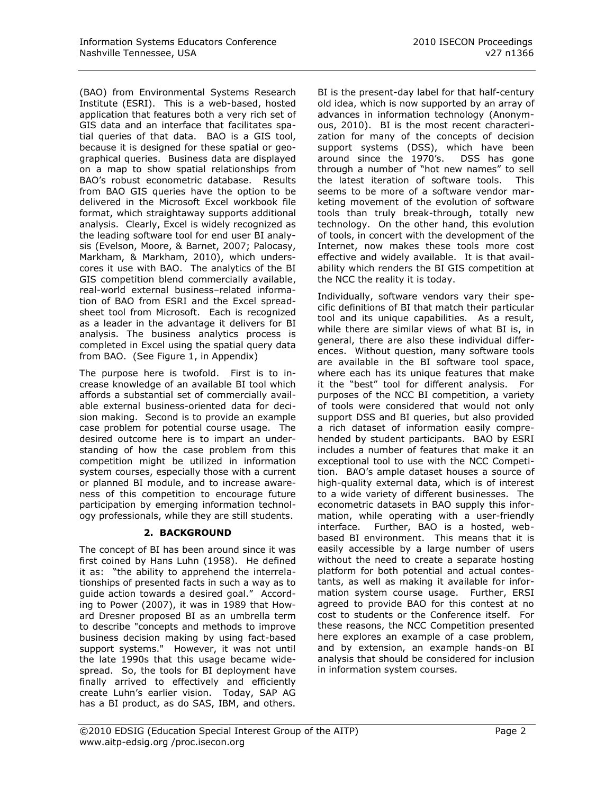(BAO) from Environmental Systems Research Institute (ESRI). This is a web-based, hosted application that features both a very rich set of GIS data and an interface that facilitates spatial queries of that data. BAO is a GIS tool, because it is designed for these spatial or geographical queries. Business data are displayed on a map to show spatial relationships from BAO"s robust econometric database. Results from BAO GIS queries have the option to be delivered in the Microsoft Excel workbook file format, which straightaway supports additional analysis. Clearly, Excel is widely recognized as the leading software tool for end user BI analysis (Evelson, Moore, & Barnet, 2007; Palocasy, Markham, & Markham, 2010), which underscores it use with BAO. The analytics of the BI GIS competition blend commercially available, real-world external business–related information of BAO from ESRI and the Excel spreadsheet tool from Microsoft. Each is recognized as a leader in the advantage it delivers for BI analysis. The business analytics process is completed in Excel using the spatial query data from BAO. (See Figure 1, in Appendix)

The purpose here is twofold. First is to increase knowledge of an available BI tool which affords a substantial set of commercially available external business-oriented data for decision making. Second is to provide an example case problem for potential course usage. The desired outcome here is to impart an understanding of how the case problem from this competition might be utilized in information system courses, especially those with a current or planned BI module, and to increase awareness of this competition to encourage future participation by emerging information technology professionals, while they are still students.

# **2. BACKGROUND**

The concept of BI has been around since it was first coined by Hans Luhn (1958). He defined it as: "the ability to apprehend the interrelationships of presented facts in such a way as to guide action towards a desired goal." According to Power (2007), it was in 1989 that Howard Dresner proposed BI as an umbrella term to describe "concepts and methods to improve business decision making by using fact-based support systems." However, it was not until the late 1990s that this usage became widespread. So, the tools for BI deployment have finally arrived to effectively and efficiently create Luhn's earlier vision. Today, SAP AG has a BI product, as do SAS, IBM, and others.

BI is the present-day label for that half-century old idea, which is now supported by an array of advances in information technology (Anonymous, 2010). BI is the most recent characterization for many of the concepts of decision support systems (DSS), which have been around since the 1970's. DSS has gone through a number of "hot new names" to sell the latest iteration of software tools. This seems to be more of a software vendor marketing movement of the evolution of software tools than truly break-through, totally new technology. On the other hand, this evolution of tools, in concert with the development of the Internet, now makes these tools more cost effective and widely available. It is that availability which renders the BI GIS competition at the NCC the reality it is today.

Individually, software vendors vary their specific definitions of BI that match their particular tool and its unique capabilities. As a result, while there are similar views of what BI is, in general, there are also these individual differences. Without question, many software tools are available in the BI software tool space, where each has its unique features that make it the "best" tool for different analysis. For purposes of the NCC BI competition, a variety of tools were considered that would not only support DSS and BI queries, but also provided a rich dataset of information easily comprehended by student participants. BAO by ESRI includes a number of features that make it an exceptional tool to use with the NCC Competition. BAO"s ample dataset houses a source of high-quality external data, which is of interest to a wide variety of different businesses. The econometric datasets in BAO supply this information, while operating with a user-friendly interface. Further, BAO is a hosted, webbased BI environment. This means that it is easily accessible by a large number of users without the need to create a separate hosting platform for both potential and actual contestants, as well as making it available for information system course usage. Further, ERSI agreed to provide BAO for this contest at no cost to students or the Conference itself. For these reasons, the NCC Competition presented here explores an example of a case problem, and by extension, an example hands-on BI analysis that should be considered for inclusion in information system courses.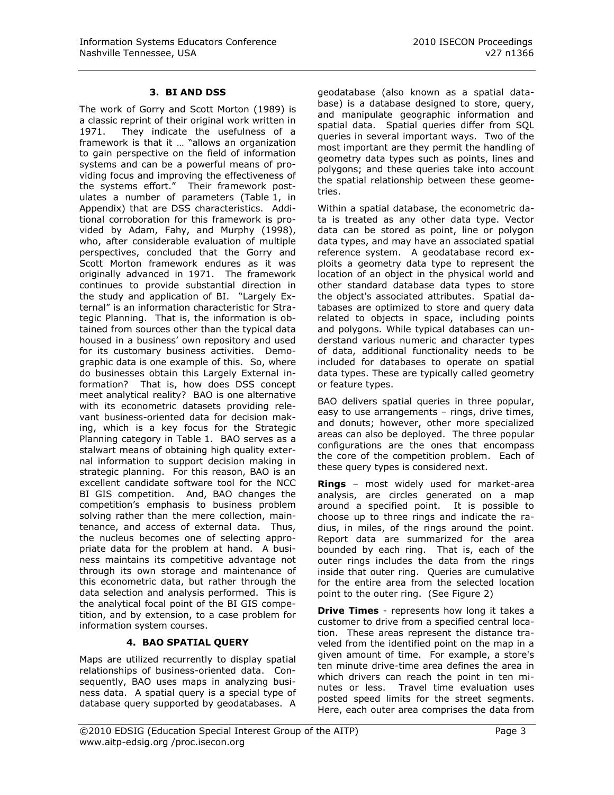#### **3. BI AND DSS**

The work of Gorry and Scott Morton (1989) is a classic reprint of their original work written in 1971. They indicate the usefulness of a framework is that it … "allows an organization to gain perspective on the field of information systems and can be a powerful means of providing focus and improving the effectiveness of the systems effort." Their framework postulates a number of parameters (Table 1, in Appendix) that are DSS characteristics. Additional corroboration for this framework is provided by Adam, Fahy, and Murphy (1998), who, after considerable evaluation of multiple perspectives, concluded that the Gorry and Scott Morton framework endures as it was originally advanced in 1971. The framework continues to provide substantial direction in the study and application of BI. "Largely External" is an information characteristic for Strategic Planning. That is, the information is obtained from sources other than the typical data housed in a business' own repository and used for its customary business activities. Demographic data is one example of this. So, where do businesses obtain this Largely External information? That is, how does DSS concept meet analytical reality? BAO is one alternative with its econometric datasets providing relevant business-oriented data for decision making, which is a key focus for the Strategic Planning category in Table 1. BAO serves as a stalwart means of obtaining high quality external information to support decision making in strategic planning. For this reason, BAO is an excellent candidate software tool for the NCC BI GIS competition. And, BAO changes the competition"s emphasis to business problem solving rather than the mere collection, maintenance, and access of external data. Thus, the nucleus becomes one of selecting appropriate data for the problem at hand. A business maintains its competitive advantage not through its own storage and maintenance of this econometric data, but rather through the data selection and analysis performed. This is the analytical focal point of the BI GIS competition, and by extension, to a case problem for information system courses.

# **4. BAO SPATIAL QUERY**

Maps are utilized recurrently to display spatial relationships of business-oriented data. Consequently, BAO uses maps in analyzing business data. A spatial query is a special type of database query supported by geodatabases. A

geodatabase (also known as a spatial database) is a database designed to store, query, and manipulate geographic information and spatial data. Spatial queries differ from SQL queries in several important ways. Two of the most important are they permit the handling of geometry data types such as points, lines and polygons; and these queries take into account the spatial relationship between these geometries.

Within a spatial database, the econometric data is treated as any other data type. Vector data can be stored as point, line or polygon data types, and may have an associated spatial reference system. A geodatabase record exploits a geometry data type to represent the location of an object in the physical world and other standard database data types to store the object's associated attributes. Spatial databases are optimized to store and query data related to objects in space, including points and polygons. While typical databases can understand various numeric and character types of data, additional functionality needs to be included for databases to operate on spatial data types. These are typically called geometry or feature types.

BAO delivers spatial queries in three popular, easy to use arrangements – rings, drive times, and donuts; however, other more specialized areas can also be deployed. The three popular configurations are the ones that encompass the core of the competition problem. Each of these query types is considered next.

**Rings** – most widely used for market-area analysis, are circles generated on a map around a specified point. It is possible to choose up to three rings and indicate the radius, in miles, of the rings around the point. Report data are summarized for the area bounded by each ring. That is, each of the outer rings includes the data from the rings inside that outer ring. Queries are cumulative for the entire area from the selected location point to the outer ring. (See Figure 2)

**Drive Times** - represents how long it takes a customer to drive from a specified central location. These areas represent the distance traveled from the identified point on the map in a given amount of time. For example, a store's ten minute drive-time area defines the area in which drivers can reach the point in ten minutes or less. Travel time evaluation uses posted speed limits for the street segments. Here, each outer area comprises the data from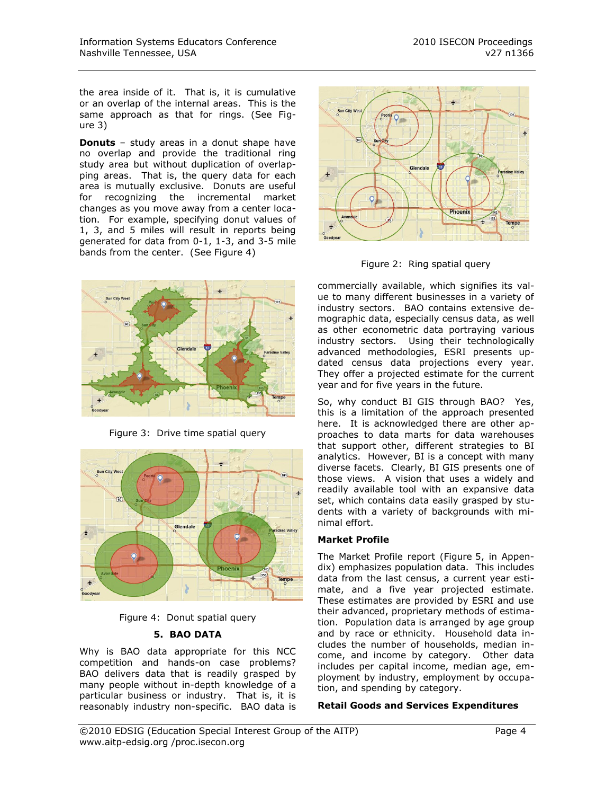the area inside of it. That is, it is cumulative or an overlap of the internal areas. This is the same approach as that for rings. (See Figure 3)

**Donuts** – study areas in a donut shape have no overlap and provide the traditional ring study area but without duplication of overlapping areas. That is, the query data for each area is mutually exclusive. Donuts are useful for recognizing the incremental market changes as you move away from a center location. For example, specifying donut values of 1, 3, and 5 miles will result in reports being generated for data from 0-1, 1-3, and 3-5 mile bands from the center. (See Figure 4)



Figure 3: Drive time spatial query





#### **5. BAO DATA**

Why is BAO data appropriate for this NCC competition and hands-on case problems? BAO delivers data that is readily grasped by many people without in-depth knowledge of a particular business or industry. That is, it is reasonably industry non-specific. BAO data is



Figure 2: Ring spatial query

commercially available, which signifies its value to many different businesses in a variety of industry sectors. BAO contains extensive demographic data, especially census data, as well as other econometric data portraying various industry sectors. Using their technologically advanced methodologies, ESRI presents updated census data projections every year. They offer a projected estimate for the current year and for five years in the future.

So, why conduct BI GIS through BAO? Yes, this is a limitation of the approach presented here. It is acknowledged there are other approaches to data marts for data warehouses that support other, different strategies to BI analytics. However, BI is a concept with many diverse facets. Clearly, BI GIS presents one of those views. A vision that uses a widely and readily available tool with an expansive data set, which contains data easily grasped by students with a variety of backgrounds with minimal effort.

#### **Market Profile**

The Market Profile report (Figure 5, in Appendix) emphasizes population data. This includes data from the last census, a current year estimate, and a five year projected estimate. These estimates are provided by ESRI and use their advanced, proprietary methods of estimation. Population data is arranged by age group and by race or ethnicity. Household data includes the number of households, median income, and income by category. Other data includes per capital income, median age, employment by industry, employment by occupation, and spending by category.

#### **Retail Goods and Services Expenditures**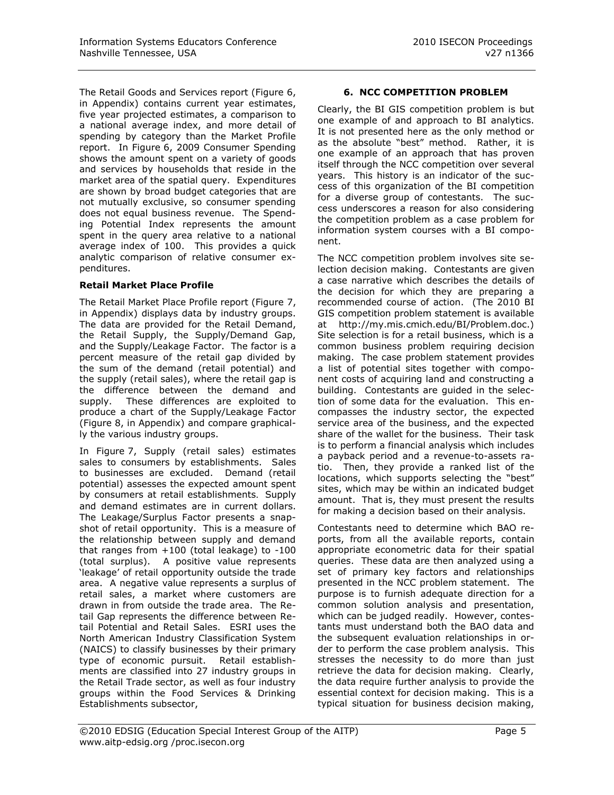The Retail Goods and Services report (Figure 6, in Appendix) contains current year estimates, five year projected estimates, a comparison to a national average index, and more detail of spending by category than the Market Profile report. In Figure 6, 2009 Consumer Spending shows the amount spent on a variety of goods and services by households that reside in the market area of the spatial query. Expenditures are shown by broad budget categories that are not mutually exclusive, so consumer spending does not equal business revenue. The Spending Potential Index represents the amount spent in the query area relative to a national average index of 100. This provides a quick analytic comparison of relative consumer expenditures.

#### **Retail Market Place Profile**

The Retail Market Place Profile report (Figure 7, in Appendix) displays data by industry groups. The data are provided for the Retail Demand, the Retail Supply, the Supply/Demand Gap, and the Supply/Leakage Factor. The factor is a percent measure of the retail gap divided by the sum of the demand (retail potential) and the supply (retail sales), where the retail gap is the difference between the demand and supply. These differences are exploited to produce a chart of the Supply/Leakage Factor (Figure 8, in Appendix) and compare graphically the various industry groups.

In Figure 7, Supply (retail sales) estimates sales to consumers by establishments. Sales to businesses are excluded. Demand (retail potential) assesses the expected amount spent by consumers at retail establishments. Supply and demand estimates are in current dollars. The Leakage/Surplus Factor presents a snapshot of retail opportunity. This is a measure of the relationship between supply and demand that ranges from +100 (total leakage) to -100 (total surplus). A positive value represents "leakage" of retail opportunity outside the trade area. A negative value represents a surplus of retail sales, a market where customers are drawn in from outside the trade area. The Retail Gap represents the difference between Retail Potential and Retail Sales. ESRI uses the North American Industry Classification System (NAICS) to classify businesses by their primary type of economic pursuit. Retail establishments are classified into 27 industry groups in the Retail Trade sector, as well as four industry groups within the Food Services & Drinking Establishments subsector,

#### **6. NCC COMPETITION PROBLEM**

Clearly, the BI GIS competition problem is but one example of and approach to BI analytics. It is not presented here as the only method or as the absolute "best" method. Rather, it is one example of an approach that has proven itself through the NCC competition over several years. This history is an indicator of the success of this organization of the BI competition for a diverse group of contestants. The success underscores a reason for also considering the competition problem as a case problem for information system courses with a BI component.

The NCC competition problem involves site selection decision making. Contestants are given a case narrative which describes the details of the decision for which they are preparing a recommended course of action. (The 2010 BI GIS competition problem statement is available at http://my.mis.cmich.edu/BI/Problem.doc.) Site selection is for a retail business, which is a common business problem requiring decision making. The case problem statement provides a list of potential sites together with component costs of acquiring land and constructing a building. Contestants are guided in the selection of some data for the evaluation. This encompasses the industry sector, the expected service area of the business, and the expected share of the wallet for the business. Their task is to perform a financial analysis which includes a payback period and a revenue-to-assets ratio. Then, they provide a ranked list of the locations, which supports selecting the "best" sites, which may be within an indicated budget amount. That is, they must present the results for making a decision based on their analysis.

Contestants need to determine which BAO reports, from all the available reports, contain appropriate econometric data for their spatial queries. These data are then analyzed using a set of primary key factors and relationships presented in the NCC problem statement. The purpose is to furnish adequate direction for a common solution analysis and presentation, which can be judged readily. However, contestants must understand both the BAO data and the subsequent evaluation relationships in order to perform the case problem analysis. This stresses the necessity to do more than just retrieve the data for decision making. Clearly, the data require further analysis to provide the essential context for decision making. This is a typical situation for business decision making,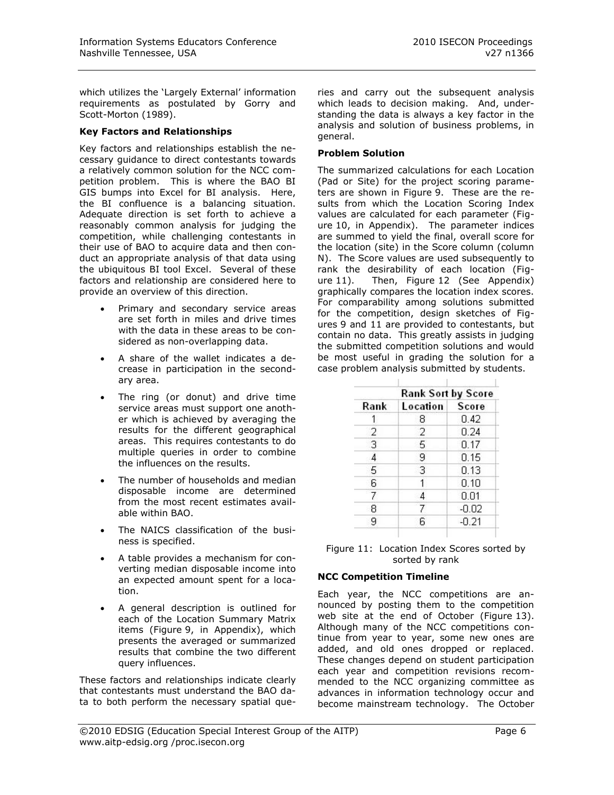which utilizes the 'Largely External' information requirements as postulated by Gorry and Scott-Morton (1989).

#### **Key Factors and Relationships**

Key factors and relationships establish the necessary guidance to direct contestants towards a relatively common solution for the NCC competition problem. This is where the BAO BI GIS bumps into Excel for BI analysis. Here, the BI confluence is a balancing situation. Adequate direction is set forth to achieve a reasonably common analysis for judging the competition, while challenging contestants in their use of BAO to acquire data and then conduct an appropriate analysis of that data using the ubiquitous BI tool Excel. Several of these factors and relationship are considered here to provide an overview of this direction.

- Primary and secondary service areas are set forth in miles and drive times with the data in these areas to be considered as non-overlapping data.
- A share of the wallet indicates a decrease in participation in the secondary area.
- The ring (or donut) and drive time service areas must support one another which is achieved by averaging the results for the different geographical areas. This requires contestants to do multiple queries in order to combine the influences on the results.
- The number of households and median disposable income are determined from the most recent estimates available within BAO.
- The NAICS classification of the business is specified.
- A table provides a mechanism for converting median disposable income into an expected amount spent for a location.
- A general description is outlined for each of the Location Summary Matrix items (Figure 9, in Appendix), which presents the averaged or summarized results that combine the two different query influences.

These factors and relationships indicate clearly that contestants must understand the BAO data to both perform the necessary spatial que-

ries and carry out the subsequent analysis which leads to decision making. And, understanding the data is always a key factor in the analysis and solution of business problems, in general.

#### **Problem Solution**

The summarized calculations for each Location (Pad or Site) for the project scoring parameters are shown in Figure 9. These are the results from which the Location Scoring Index values are calculated for each parameter (Figure 10, in Appendix). The parameter indices are summed to yield the final, overall score for the location (site) in the Score column (column N). The Score values are used subsequently to rank the desirability of each location (Figure 11). Then, Figure 12 (See Appendix) graphically compares the location index scores. For comparability among solutions submitted for the competition, design sketches of Figures 9 and 11 are provided to contestants, but contain no data. This greatly assists in judging the submitted competition solutions and would be most useful in grading the solution for a case problem analysis submitted by students.

|      | <b>Rank Sort by Score</b> |         |
|------|---------------------------|---------|
| Rank | <b>Location</b>           | Score   |
|      | 8                         | 0.42    |
| 2    | 2                         | 0.24    |
| 3    | 5                         | 0.17    |
| 4    | 9                         | 0.15    |
| 5    | 3                         | 0.13    |
| 6    | 1                         | 0.10    |
| 7    | 4                         | 0.01    |
| 8    |                           | $-0.02$ |
| 9    | 6                         | $-0.21$ |

| Figure 11: Location Index Scores sorted by |
|--------------------------------------------|
| sorted by rank                             |

# **NCC Competition Timeline**

Each year, the NCC competitions are announced by posting them to the competition web site at the end of October (Figure 13). Although many of the NCC competitions continue from year to year, some new ones are added, and old ones dropped or replaced. These changes depend on student participation each year and competition revisions recommended to the NCC organizing committee as advances in information technology occur and become mainstream technology. The October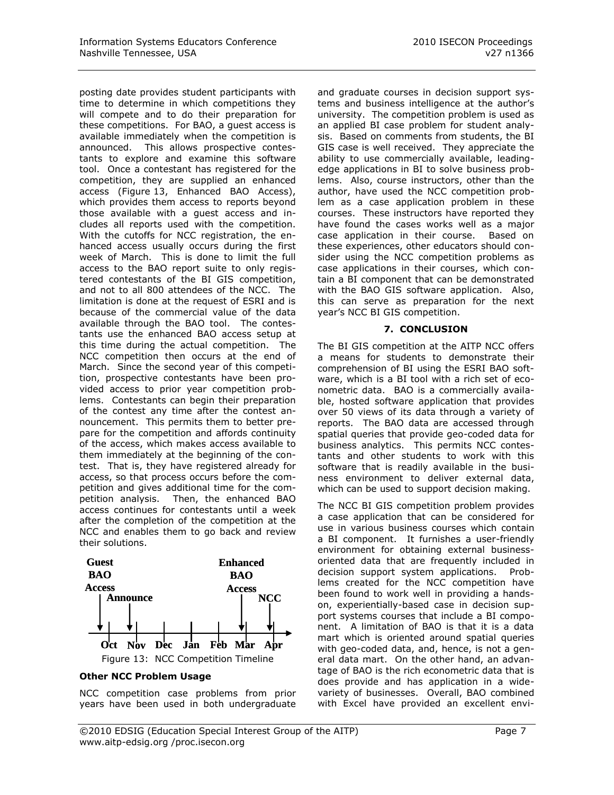posting date provides student participants with time to determine in which competitions they will compete and to do their preparation for these competitions. For BAO, a guest access is available immediately when the competition is announced. This allows prospective contestants to explore and examine this software tool. Once a contestant has registered for the competition, they are supplied an enhanced access (Figure 13, Enhanced BAO Access), which provides them access to reports beyond those available with a guest access and includes all reports used with the competition. With the cutoffs for NCC registration, the enhanced access usually occurs during the first week of March. This is done to limit the full access to the BAO report suite to only registered contestants of the BI GIS competition, and not to all 800 attendees of the NCC. The limitation is done at the request of ESRI and is because of the commercial value of the data available through the BAO tool. The contestants use the enhanced BAO access setup at this time during the actual competition. The NCC competition then occurs at the end of March. Since the second year of this competition, prospective contestants have been provided access to prior year competition problems. Contestants can begin their preparation of the contest any time after the contest announcement. This permits them to better prepare for the competition and affords continuity of the access, which makes access available to them immediately at the beginning of the contest. That is, they have registered already for access, so that process occurs before the competition and gives additional time for the competition analysis. Then, the enhanced BAO access continues for contestants until a week after the completion of the competition at the NCC and enables them to go back and review their solutions.



#### **Other NCC Problem Usage**

NCC competition case problems from prior years have been used in both undergraduate

and graduate courses in decision support systems and business intelligence at the author's university. The competition problem is used as an applied BI case problem for student analysis. Based on comments from students, the BI GIS case is well received. They appreciate the ability to use commercially available, leadingedge applications in BI to solve business problems. Also, course instructors, other than the author, have used the NCC competition problem as a case application problem in these courses. These instructors have reported they have found the cases works well as a major case application in their course. Based on these experiences, other educators should consider using the NCC competition problems as case applications in their courses, which contain a BI component that can be demonstrated with the BAO GIS software application. Also, this can serve as preparation for the next year"s NCC BI GIS competition.

#### **7. CONCLUSION**

The BI GIS competition at the AITP NCC offers a means for students to demonstrate their comprehension of BI using the ESRI BAO software, which is a BI tool with a rich set of econometric data. BAO is a commercially available, hosted software application that provides over 50 views of its data through a variety of reports. The BAO data are accessed through spatial queries that provide geo-coded data for business analytics. This permits NCC contestants and other students to work with this software that is readily available in the business environment to deliver external data, which can be used to support decision making.

The NCC BI GIS competition problem provides a case application that can be considered for use in various business courses which contain a BI component. It furnishes a user-friendly environment for obtaining external businessoriented data that are frequently included in decision support system applications. Problems created for the NCC competition have been found to work well in providing a handson, experientially-based case in decision support systems courses that include a BI component. A limitation of BAO is that it is a data mart which is oriented around spatial queries with geo-coded data, and, hence, is not a general data mart. On the other hand, an advantage of BAO is the rich econometric data that is does provide and has application in a widevariety of businesses. Overall, BAO combined with Excel have provided an excellent envi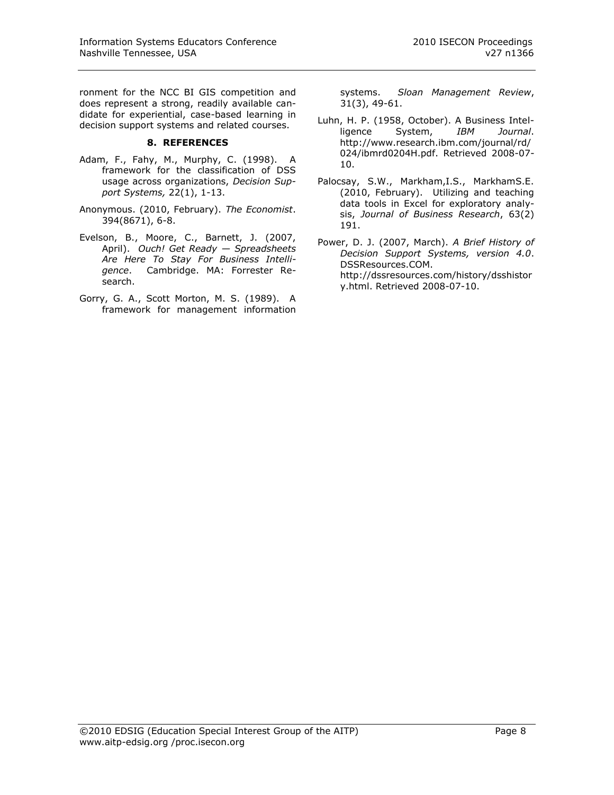ronment for the NCC BI GIS competition and does represent a strong, readily available candidate for experiential, case-based learning in decision support systems and related courses.

#### **8. REFERENCES**

- Adam, F., Fahy, M., Murphy, C. (1998). A framework for the classification of DSS usage across organizations, *Decision Support Systems,* 22(1), 1-13.
- Anonymous. (2010, February). *The Economist*. 394(8671), 6-8.
- Evelson, B., Moore, C., Barnett, J. (2007, April). *Ouch! Get Ready — Spreadsheets Are Here To Stay For Business Intelligence*. Cambridge. MA: Forrester Research.
- Gorry, G. A., Scott Morton, M. S. (1989). A framework for management information

systems. *Sloan Management Review*, 31(3), 49-61.

- Luhn, H. P. (1958, October). A Business Intelligence System, *IBM Journal*. http://www.research.ibm.com/journal/rd/ 024/ibmrd0204H.pdf. Retrieved 2008-07- 10.
- Palocsay, S.W., Markham,I.S., MarkhamS.E. (2010, February). Utilizing and teaching data tools in Excel for exploratory analysis, *Journal of Business Research*, 63(2) 191.

Power, D. J. (2007, March). *A Brief History of Decision Support Systems, version 4.0*. DSSResources.COM. http://dssresources.com/history/dsshistor y.html. Retrieved 2008-07-10.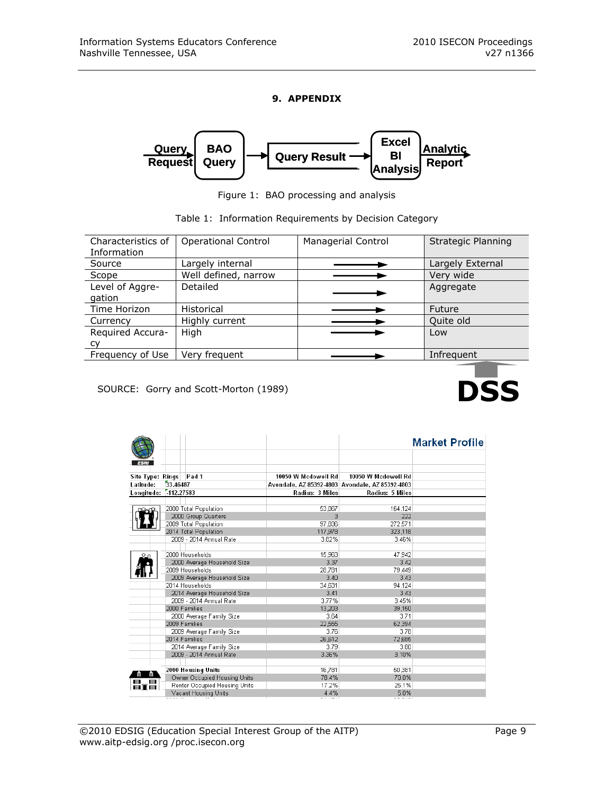### **9. APPENDIX**



Figure 1: BAO processing and analysis

|  |  | Table 1: Information Requirements by Decision Category |  |  |
|--|--|--------------------------------------------------------|--|--|
|--|--|--------------------------------------------------------|--|--|

| Characteristics of<br>Information | <b>Operational Control</b> | <b>Managerial Control</b> | Strategic Planning |
|-----------------------------------|----------------------------|---------------------------|--------------------|
| Source                            | Largely internal           |                           | Largely External   |
| Scope                             | Well defined, narrow       |                           | Very wide          |
| Level of Aggre-<br>gation         | Detailed                   |                           | Aggregate          |
| Time Horizon                      | <b>Historical</b>          |                           | Future             |
| Currency                          | Highly current             |                           | Quite old          |
| Required Accura-                  | High                       |                           | Low                |
| cy                                |                            |                           |                    |
| Frequency of Use                  | Very frequent              |                           | Infrequent         |
|                                   |                            |                           |                    |

SOURCE: Gorry and Scott-Morton (1989)

|                  |                               |                     |                                                 | <b>Market Profile</b> |
|------------------|-------------------------------|---------------------|-------------------------------------------------|-----------------------|
|                  |                               |                     |                                                 |                       |
|                  |                               |                     |                                                 |                       |
| Site Type: Rings | Pad 1                         | 10050 W Mcdowell Rd | 10050 W Mcdowell Rd                             |                       |
| Latitude:        | 33.46487                      |                     | Avondale, AZ 85392-4803 Avondale, AZ 85392-4803 |                       |
| Longitude:       | 112,27583                     | Radius: 3 Miles     | Radius: 5 Miles                                 |                       |
|                  |                               |                     |                                                 |                       |
|                  | 2000 Total Population         | 53,867              | 164,124                                         |                       |
|                  | 2000 Group Quarters           | з                   | 222                                             |                       |
|                  | 2009 Total Population         | 97.836              | 272.571                                         |                       |
|                  | 2014 Total Population         | 117,978             | 323,118                                         |                       |
|                  | 2009 - 2014 Annual Rate       | 3.82%               | 3.46%                                           |                       |
|                  |                               |                     |                                                 |                       |
|                  | 2000 Households               | 15,963              | 47,942                                          |                       |
|                  | 2000 Average Household Size   | 3.37                | 3.42                                            |                       |
|                  | 2009 Households               | 28,781              | 79,449                                          |                       |
|                  | 2009 Average Household Size   | 3.40                | 3.43                                            |                       |
|                  | 2014 Households               | 34.631              | 94,124                                          |                       |
|                  | 2014 Average Household Size   | 3.41                | 3.43                                            |                       |
|                  | 2009 - 2014 Annual Rate       | 3.77%               | 3.45%                                           |                       |
|                  | 2000 Families                 | 13,203              | 39,150                                          |                       |
|                  | 2000 Average Family Size      | 3.64                | 3.71                                            |                       |
|                  | 2009 Families                 | 22,555              | 62,394                                          |                       |
|                  | 2009 Average Family Size      | 3.76                | 3.78                                            |                       |
|                  | 2014 Families                 | 26,612              | 72,685                                          |                       |
|                  | 2014 Average Family Size      | 3.79                | 3.80                                            |                       |
|                  | 2009 - 2014 Annual Rate       | 3.36%               | 3.10%                                           |                       |
|                  |                               |                     |                                                 |                       |
|                  | 2000 Housing Units            | 16,781              | 50,381                                          |                       |
|                  | Owner Occupied Housing Units  | 78.4%               | 70.0%                                           |                       |
| $\blacksquare$   | Renter Occupied Housing Units | 17.2%               | 25.1%                                           |                       |
|                  | Vacant Housing Units          | 4.4%                | 5.0%                                            |                       |
|                  |                               |                     |                                                 |                       |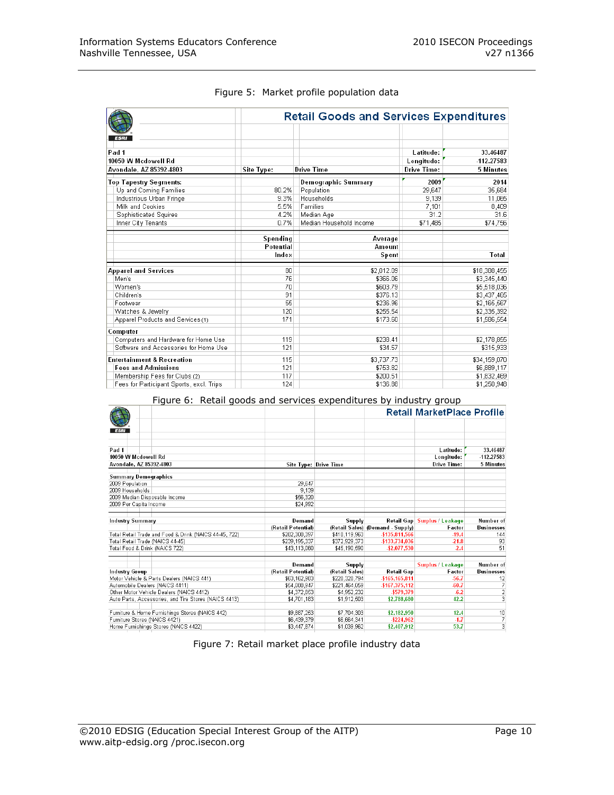|                                          | <b>Retail Goods and Services Expenditures</b> |                         |             |              |  |  |
|------------------------------------------|-----------------------------------------------|-------------------------|-------------|--------------|--|--|
|                                          |                                               |                         |             |              |  |  |
| Pad 1                                    |                                               |                         | Latitude:   | 33.46487     |  |  |
| 10050 W Mcdowell Rd                      |                                               |                         | Longitude:  | -112.27583   |  |  |
| Avondale, AZ 85392-4803                  | Site Type:                                    | <b>Drive Time</b>       | Drive Time: | 5 Minutes    |  |  |
| <b>Top Tapestry Segments:</b>            |                                               | Demographic Summary     | 2009        | 2014         |  |  |
| Up and Coming Families                   | 80.2%                                         | Population              | 29.647      | 35,684       |  |  |
| Industrious Urban Fringe                 | 9.3%                                          | Households              | 9,139       | 11,065       |  |  |
| Milk and Cookies                         | 5.5%                                          | Families                | 7,101       | 8,409        |  |  |
| Sophisticated Squires                    | 4.2%                                          | Median Age              | 31.2        | 31.6         |  |  |
| Inner City Tenants                       | 0.7%                                          | Median Household Income | \$71,485    | \$74,756     |  |  |
|                                          | Spending                                      | Average                 |             |              |  |  |
|                                          | Potential                                     | Amount                  |             |              |  |  |
|                                          | Index                                         | Spent                   |             | Total        |  |  |
| <b>Apparel and Services</b>              | 80                                            | \$2,012.09              |             | \$18,388,455 |  |  |
| Men's                                    | 76                                            | \$366.06                |             | \$3,345,440  |  |  |
| Women's                                  | 70                                            | \$603.79                |             | \$5,518,036  |  |  |
| Children's                               | 91                                            | \$376.13                |             | \$3,437,465  |  |  |
| Footwear                                 | 55                                            | \$236.96                |             | \$2,165,567  |  |  |
| Watches & Jewelry                        | 120                                           | \$255.54                |             | \$2,335,392  |  |  |
| Apparel Products and Services (1)        | 171                                           | \$173.60                |             | \$1,586,554  |  |  |
| Computer                                 |                                               |                         |             |              |  |  |
| Computers and Hardware for Home Use      | 119                                           | \$238.41                |             | \$2,178,855  |  |  |
| Software and Accessories for Home Use    | 121                                           | \$34.57                 |             | \$315,933    |  |  |
| <b>Entertainment &amp; Recreation</b>    | 115                                           | \$3,737.73              |             | \$34,159,070 |  |  |
| <b>Fees and Admissions</b>               | 121                                           | \$753.82                |             | \$6,889,117  |  |  |
| Membership Fees for Clubs (2)            | 117                                           | \$200.51                |             | \$1,832,469  |  |  |
| Fees for Participant Sports, excl. Trips | 124                                           | \$136.88                |             | \$1,250,948  |  |  |

#### Figure 5: Market profile population data

Figure 6: Retail goods and services expenditures by industry group

|                                                        |                    |                       | <b>Retail MarketPlace Profile</b> |                          |                         |  |
|--------------------------------------------------------|--------------------|-----------------------|-----------------------------------|--------------------------|-------------------------|--|
|                                                        |                    |                       |                                   |                          |                         |  |
| <b>ESRI</b>                                            |                    |                       |                                   |                          |                         |  |
|                                                        |                    |                       |                                   |                          |                         |  |
| Pad 1                                                  |                    |                       |                                   | Latitude:                | 33.46487                |  |
| 10050 W Mcdowell Rd                                    |                    |                       |                                   | Longitude:               | -112.27583              |  |
| Avondale, AZ 85392-4803                                |                    | Site Type: Drive Time |                                   | Drive Time:              | 5 Minutes               |  |
| <b>Summary Demographics</b>                            |                    |                       |                                   |                          |                         |  |
| 2009 Population                                        | 29,647             |                       |                                   |                          |                         |  |
| 2009 Households                                        | 9.139              |                       |                                   |                          |                         |  |
| 2009 Median Disposable Income                          | \$56,320           |                       |                                   |                          |                         |  |
| 2009 Per Capita Income                                 | \$24,992           |                       |                                   |                          |                         |  |
|                                                        |                    |                       |                                   |                          |                         |  |
| <b>Industry Summary</b>                                | Demand             | Supply                | Retail Gap                        | <b>Surplus / Leakage</b> | Number of               |  |
|                                                        | (Retail Potential) |                       | (Retail Sales) (Demand - Supply)  | Factor                   | <b>Businesses</b>       |  |
| Total Retail Trade and Food & Drink (NAICS 44-45, 722) | \$282,308,397      | \$418,119,963         | -\$135.811.566                    | $-19.4$                  | 144                     |  |
| Total Retail Trade (NAICS 44-45)                       | \$239,195,337      | \$372,929,373         | -\$133,734,036                    | $-21.8$                  | 93                      |  |
| Total Food & Drink (NAICS 722)                         | \$43,113,060       | \$45,190,590          | -\$2,077,530                      | $-2.4$                   | 51                      |  |
|                                                        |                    |                       |                                   |                          |                         |  |
|                                                        | <b>Demand</b>      | Supply                |                                   | <b>Surplus / Leakage</b> | Number of               |  |
| <b>Industry Group</b>                                  | (Retail Potential) | (Retail Sales)        | Retail Gap                        | Factor                   | <b>Businesses</b>       |  |
| Motor Vehicle & Parts Dealers (NAICS 441)              | \$63,162,983       | \$228,328,794         | -\$165.165.811                    | $-56.7$                  | 12                      |  |
| Automobile Dealers (NAICS 4411)                        | \$54,088,947       | \$221,464,059         | -\$167,375,112                    | $-60.7$                  | 7                       |  |
| Other Motor Vehicle Dealers (NAICS 4412)               | \$4,372,853        | \$4,952,232           | -\$579,379                        | $-6.2$                   | $\overline{\mathbf{c}}$ |  |
| Auto Parts, Accessories, and Tire Stores (NAICS 4413)  | \$4,701,183        | \$1,912,503           | \$2,788,680                       | 42.2                     | $\overline{\mathbf{3}}$ |  |
| Furniture & Home Furnishings Stores (NAICS 442)        | \$9,887,253        | \$7,704,303           | \$2,182,950                       | 12.4                     | 10                      |  |
| Furniture Stores (NAICS 4421)                          | \$6,439,379        | \$6,664,341           | -\$224.962                        | $-1.7$                   | 7                       |  |
| Home Furnishings Stores (NAICS 4422)                   | \$3,447,874        | \$1,039,962           | \$2,407,912                       | 53.7                     | 3                       |  |

Figure 7: Retail market place profile industry data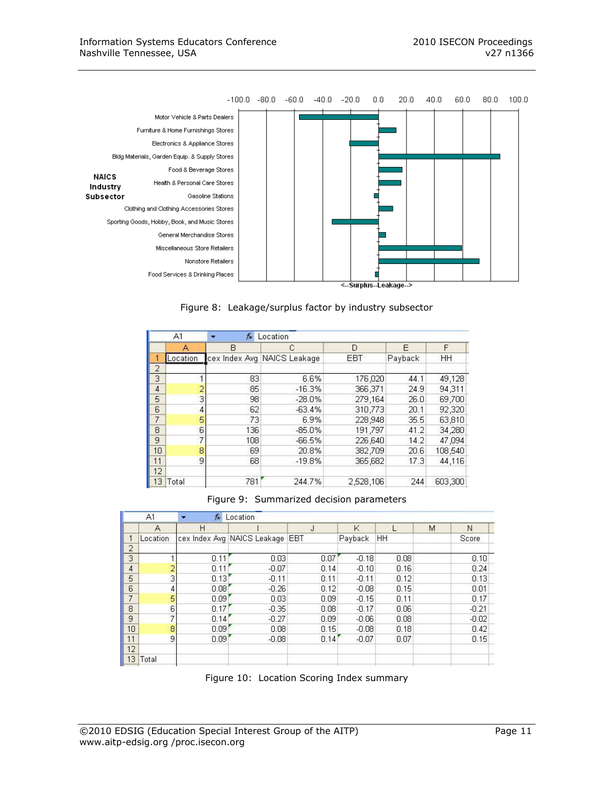

Figure 8: Leakage/surplus factor by industry subsector

|                | A1       | fx. | Location                    |           |         |         |
|----------------|----------|-----|-----------------------------|-----------|---------|---------|
|                | А        | в   | С                           | D         | E       | F       |
|                | Location |     | cex Index Avg NAICS Leakage | EBT       | Payback | HH      |
| 2              |          |     |                             |           |         |         |
| 3              |          | 83  | 6.6%                        | 176,020   | 44.1    | 49.128  |
| 4              |          | 85  | $-16.3%$                    | 366,371   | 24.9    | 94.311  |
| 5              | 3        | 98  | $-28.0%$                    | 279.164   | 26.0    | 69.700  |
| 6              | 4        | 62  | $-63.4%$                    | 310,773   | 20.1    | 92,320  |
| $\overline{7}$ | 5        | 73  | 6.9%                        | 228,948   | 35.5    | 63,810  |
| 8              | 6        | 136 | $-85.0%$                    | 191,797   | 41.2    | 34,280  |
| 9              | 7        | 108 | $-66.5%$                    | 226,640   | 14.2    | 47.094  |
| 10             | 8        | 69  | 20.8%                       | 382,709   | 20.6    | 108,540 |
| 11             | 9        | 68  | $-19.8%$                    | 365,682   | 17.3    | 44.116  |
| 12             |          |     |                             |           |         |         |
| 13             | Total    | 781 | 244.7%                      | 2,528,106 | 244     | 603,300 |

Figure 9: Summarized decision parameters

|                | A1             | $f_{\mathbf{x}}$<br>× | Location                        |      |         |      |   |         |
|----------------|----------------|-----------------------|---------------------------------|------|---------|------|---|---------|
|                | A              | H                     |                                 | J    | K       |      | М | N       |
| 1              | Location       |                       | cex Index Avg NAICS Leakage EBT |      | Payback | HH.  |   | Score   |
| $\overline{c}$ |                |                       |                                 |      |         |      |   |         |
| 3              | 4              | 0.11                  | 0.03                            | 0.07 | $-0.18$ | 0.08 |   | 0.10    |
| $\overline{4}$ | $\overline{2}$ | 0.11                  | $-0.07$                         | 0.14 | $-0.10$ | 0.16 |   | 0.24    |
| 5              | 3              | 0.13                  | $-0.11$                         | 0.11 | $-0.11$ | 0.12 |   | 0.13    |
| 6              | 4              | 0.08                  | $-0.26$                         | 0.12 | $-0.08$ | 0.15 |   | 0.01    |
| $\overline{7}$ | 5              | 0.09                  | 0.03                            | 0.09 | $-0.15$ | 0.11 |   | 0.17    |
| $\overline{8}$ | 6              | 0.17                  | $-0.35$                         | 0.08 | $-0.17$ | 0.06 |   | $-0.21$ |
| 9              | $\overline{7}$ | 0.14                  | $-0.27$                         | 0.09 | $-0.06$ | 0.08 |   | $-0.02$ |
| 10             | 8              | 0.09                  | 0.08                            | 0.15 | $-0.08$ | 0.18 |   | 0.42    |
| 11             | 9              | 0.09                  | $-0.08$                         | 0.14 | $-0.07$ | 0.07 |   | 0.15    |
| 12             |                |                       |                                 |      |         |      |   |         |
| 13             | Total          |                       |                                 |      |         |      |   |         |
|                |                |                       |                                 |      |         |      |   |         |

Figure 10: Location Scoring Index summary